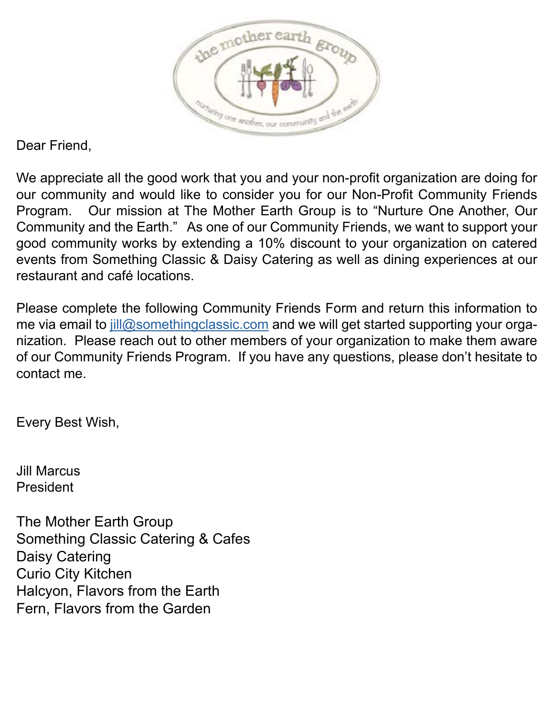

Dear Friend,

We appreciate all the good work that you and your non-profit organization are doing for our community and would like to consider you for our Non-Profit Community Friends Program. Our mission at The Mother Earth Group is to "Nurture One Another, Our Community and the Earth." As one of our Community Friends, we want to support your good community works by extending a 10% discount to your organization on catered events from Something Classic & Daisy Catering as well as dining experiences at our restaurant and café locations.

Please complete the following Community Friends Form and return this information to me via email to  $jlll@something classic.com$  and we will get started supporting your organization. Please reach out to other members of your organization to make them aware of our Community Friends Program. If you have any questions, please don't hesitate to contact me.

Every Best Wish,

Jill Marcus President

The Mother Earth Group Something Classic Catering & Cafes Daisy Catering Curio City Kitchen Halcyon, Flavors from the Earth Fern, Flavors from the Garden